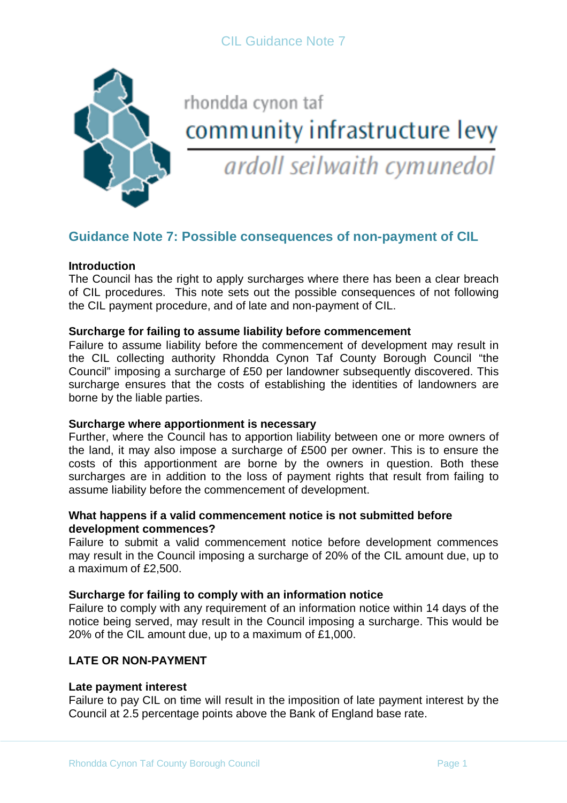

# rhondda cynon taf community infrastructure levy ardoll seilwaith cymunedol

# **Guidance Note 7: Possible consequences of non-payment of CIL**

# **Introduction**

The Council has the right to apply surcharges where there has been a clear breach of CIL procedures. This note sets out the possible consequences of not following the CIL payment procedure, and of late and non-payment of CIL.

### **Surcharge for failing to assume liability before commencement**

Failure to assume liability before the commencement of development may result in the CIL collecting authority Rhondda Cynon Taf County Borough Council "the Council" imposing a surcharge of £50 per landowner subsequently discovered. This surcharge ensures that the costs of establishing the identities of landowners are borne by the liable parties.

### **Surcharge where apportionment is necessary**

Further, where the Council has to apportion liability between one or more owners of the land, it may also impose a surcharge of £500 per owner. This is to ensure the costs of this apportionment are borne by the owners in question. Both these surcharges are in addition to the loss of payment rights that result from failing to assume liability before the commencement of development.

#### **What happens if a valid commencement notice is not submitted before development commences?**

Failure to submit a valid commencement notice before development commences may result in the Council imposing a surcharge of 20% of the CIL amount due, up to a maximum of £2,500.

### **Surcharge for failing to comply with an information notice**

Failure to comply with any requirement of an information notice within 14 days of the notice being served, may result in the Council imposing a surcharge. This would be 20% of the CIL amount due, up to a maximum of £1,000.

### **LATE OR NON-PAYMENT**

#### **Late payment interest**

Failure to pay CIL on time will result in the imposition of late payment interest by the Council at 2.5 percentage points above the Bank of England base rate.